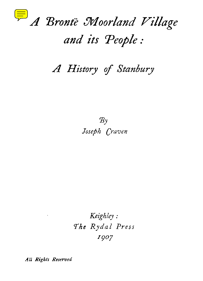

# A *History of Stanbury*

*By Joseph Craven*

*Keighley : The Rydal Press 1907*

*All Rights Reserved*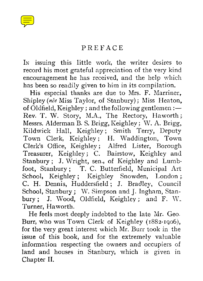

## PREFACE

IN issuing this little work, the writer desires to record his most grateful appreciation of the very kind encouragement he has received, and the help which has been so readily given to him in its compilation.

His especial thanks are due to Mrs. F. Marriner, Shipley *(nee* Miss Taylor, of Stanbury); Miss Heaton, of Oldfield, Keighley; and the following gentlemen : $-$ Rev. T. W. Story, M.A., The Rectory, Haworth ; Messrs. Alderman B. S. Brigg, Keighley ; W. A. Brigg, Kildwick Hall, Keighley ; Smith Terry, Deputy Town Clerk, Keighley ; H. Waddington, Town Clerk's Office, Keighley ; Alfred Lister, Borough Treasurer, Keighley ; C. Bairstow, Keighley and Stanbury ; J. Wright, sen., of Keighley and Lumbfoot, Stanbury ; T. C. Butterfield, Municipal Art School, Keighley; Keighley Snowden, London; C. H. Dennis, Huddersfield ; J. Bradley, Council School, Stanbury; W. Simpson and J. Ingham, Stanbury ; J. Wood, Oldfield, Keighley ; and F. W.. Turner, Haworth.

He feels most deeply indebted to the late Mr. Geo. Burr, who was Town Clerk of Keighley (1882-1906), for the very great interest which Mr. Burr took in the issue of this book, and for the extremely valuable information respecting the owners and occupiers of land and houses in Stanbury, which is given in Chapter II.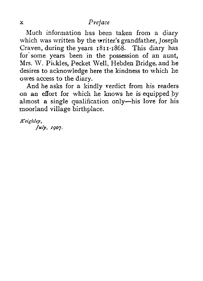*x Preface*<br>Much information has been<br>which was written by the write<br>Craven during the years 1811 Much information has been taken from a diary which was written by the writer's grandfather, Joseph Craven, during the years 1811-1868. This diary has for' some years been in the possession of an aunt, Mrs. W. Pickles, Pecket Well, Hebden Bridge, and he desires to acknowledge here the kindness to which he owes access to the diary.

And he asks for a kindly verdict from his readers on an effort for which he knows he is equipped by almost a single qualification only—his love for his moorland village birthplace.

*Keighley, July, 1907.*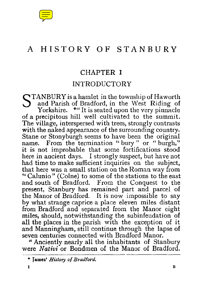

# A HISTORY OF STANBURY

# CHAPTER I

# INTRODUCTORY

STANBURY is a hamlet in the township of Haworth<br>and Parish of Bradford, in the West Riding of<br>Exception 1.1 It is seated upon the very pinnacle and Parish of Bradford, in the West Riding of Yorkshire. \*" It is seated upon the very pinnacle of a precipitous hill well cultivated to the summit. The village, interspersed with trees, strongly contrasts with the naked appearance of the surrounding country. Stane or Stonyburgh seems to have been the original name. From the termination " bury " or " burgh," it is not improbable that some fortifications stood here in ancient days. I strongly suspect, but have not had time to make sufficient inquiries on the subject, that here was a small station on the Roman way from " Calunio " (Colne) to some of the stations to the east and south of Bradford. From the Conquest to the present, Stanbury has remained part and parcel of the Manor of Bradford. It is now impossible to say by what strange caprice a place eleven miles distant from Bradford and separated from the Manor eight miles, should, notwithstanding the subinfeudation of all the places in the parish with the exception of it and Manningham, still continue through the lapse of seven centuries connected with Bradford Manor.

" Anciently nearly all the inhabitants of Stanbury were *Nativi* or Bondmen of the Manor of Bradford.

<sup>\*</sup> Tames' *History of Bradford.*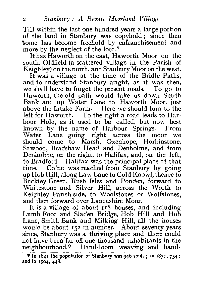<sup>2</sup> Stanbury : A Bronte Moorland Village<br>
Till within the last one hundred years a large<br>
of the land in Stanbury was copyhold; sin Till within the last one hundred years a large portion of the land in Stanbury was copyhold ; since then some has become freehold by enfranchisement and more by the neglect of the lord."

It has Haworth on the east, Haworth Moor on the south, Oldfield (a scattered village in the Parish of Keighley) on the north, and Stanbury Moor on the west.

It was a village at the time of the Bridle Paths, and to understand Stanbury aright, as it was then, we shall have to forget the present roads. To go to Haworth, the old path would take us down Smith Bank and up Water Lane to Haworth Moor, just above the Intake Farm. Here we should turn to the left for Haworth. To the right a road leads to Harbour Hole, as it used to be called, but now best known by the name of Harbour Springs. From Water Lane going right across the moor we should come to Marsh, Oxenhope, Horkinstone, Sawood, Bradshaw Head and Denholme, and from Denholme, on the right, to Halifax, and, on the left, to Bradford. Halifax was the principal place at that time. Colne was reached from Stanbury by going up Hob Hill, along Law Lane to Cold Knowl, thence to Buckley Green, Rush Isles and Ponden, forward to Whitestone and Silver Hill, across the Worth to Keighley Parish side, to Woolstones or Wolfstones, and then forward over Lancashire Moor.

It is a village of about 118 houses, and including Lumb Foot and Sladen Bridge, Hob Hill and Hob Lane, Smith Bank and Milking Hill, all the houses would be about 152 in number. About seventy years since, Stanbury was a thriving place and there could not have been far off one thousand inhabitants in the neighbourhood.\* Hand-loom weaving and hand-

<sup>\*</sup> In 1841 the population of Stanbury was 946 **souls ; in** 1871, 754 ; and in 1904, 448.